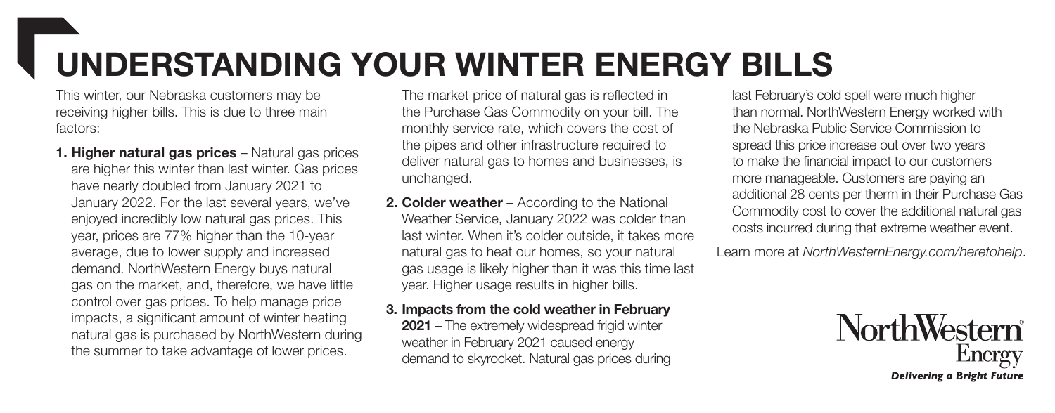## UNDERSTANDING YOUR WINTER ENERGY BILLS

This winter, our Nebraska customers may be receiving higher bills. This is due to three main factors:

1. Higher natural gas prices - Natural gas prices are higher this winter than last winter. Gas prices have nearly doubled from January 2021 to January 2022. For the last several years, we've enjoyed incredibly low natural gas prices. This year, prices are 77% higher than the 10-year average, due to lower supply and increased demand. NorthWestern Energy buys natural gas on the market, and, therefore, we have little control over gas prices. To help manage price impacts, a significant amount of winter heating natural gas is purchased by NorthWestern during the summer to take advantage of lower prices.

The market price of natural gas is reflected in the Purchase Gas Commodity on your bill. The monthly service rate, which covers the cost of the pipes and other infrastructure required to deliver natural gas to homes and businesses, is unchanged.

2. Colder weather – According to the National Weather Service, January 2022 was colder than last winter. When it's colder outside, it takes more natural gas to heat our homes, so your natural gas usage is likely higher than it was this time last year. Higher usage results in higher bills.

## 3. Impacts from the cold weather in February

2021 – The extremely widespread frigid winter weather in February 2021 caused energy demand to skyrocket. Natural gas prices during last February's cold spell were much higher than normal. NorthWestern Energy worked with the Nebraska Public Service Commission to spread this price increase out over two years to make the financial impact to our customers more manageable. Customers are paying an additional 28 cents per therm in their Purchase Gas Commodity cost to cover the additional natural gas costs incurred during that extreme weather event.

Learn more at *NorthWesternEnergy.com/heretohelp*.